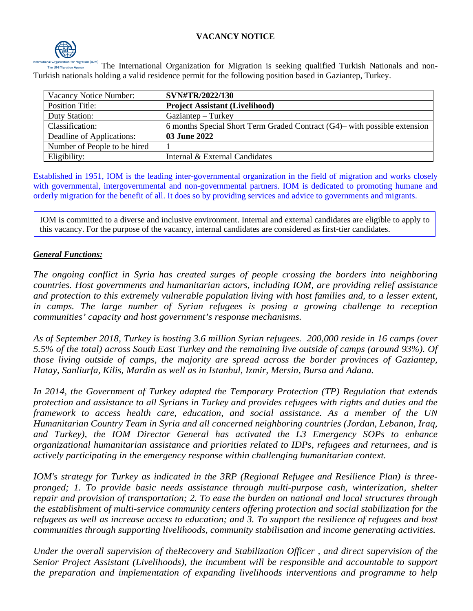## **VACANCY NOTICE**



The International Organization for Migration is seeking qualified Turkish Nationals and non-Turkish nationals holding a valid residence permit for the following position based in Gaziantep, Turkey.

| Vacancy Notice Number:       | SVN#TR/2022/130                                                              |
|------------------------------|------------------------------------------------------------------------------|
| <b>Position Title:</b>       | <b>Project Assistant (Livelihood)</b>                                        |
| Duty Station:                | Gaziantep – Turkey                                                           |
| Classification:              | 6 months Special Short Term Graded Contract $(G4)$ — with possible extension |
| Deadline of Applications:    | 03 June 2022                                                                 |
| Number of People to be hired |                                                                              |
| Eligibility:                 | Internal & External Candidates                                               |

Established in 1951, IOM is the leading inter-governmental organization in the field of migration and works closely with governmental, intergovernmental and non-governmental partners. IOM is dedicated to promoting humane and orderly migration for the benefit of all. It does so by providing services and advice to governments and migrants.

IOM is committed to a diverse and inclusive environment. Internal and external candidates are eligible to apply to this vacancy. For the purpose of the vacancy, internal candidates are considered as first-tier candidates.

#### *General Functions:*

*The ongoing conflict in Syria has created surges of people crossing the borders into neighboring countries. Host governments and humanitarian actors, including IOM, are providing relief assistance and protection to this extremely vulnerable population living with host families and, to a lesser extent, in camps. The large number of Syrian refugees is posing a growing challenge to reception communities' capacity and host government's response mechanisms.* 

*As of September 2018, Turkey is hosting 3.6 million Syrian refugees. 200,000 reside in 16 camps (over 5.5% of the total) across South East Turkey and the remaining live outside of camps (around 93%). Of those living outside of camps, the majority are spread across the border provinces of Gaziantep, Hatay, Sanliurfa, Kilis, Mardin as well as in Istanbul, Izmir, Mersin, Bursa and Adana.* 

*In 2014, the Government of Turkey adapted the Temporary Protection (TP) Regulation that extends protection and assistance to all Syrians in Turkey and provides refugees with rights and duties and the framework to access health care, education, and social assistance. As a member of the UN Humanitarian Country Team in Syria and all concerned neighboring countries (Jordan, Lebanon, Iraq, and Turkey), the IOM Director General has activated the L3 Emergency SOPs to enhance organizational humanitarian assistance and priorities related to IDPs, refugees and returnees, and is actively participating in the emergency response within challenging humanitarian context.* 

*IOM's strategy for Turkey as indicated in the 3RP (Regional Refugee and Resilience Plan) is threepronged; 1. To provide basic needs assistance through multi-purpose cash, winterization, shelter repair and provision of transportation; 2. To ease the burden on national and local structures through the establishment of multi-service community centers offering protection and social stabilization for the refugees as well as increase access to education; and 3. To support the resilience of refugees and host communities through supporting livelihoods, community stabilisation and income generating activities.*

*Under the overall supervision of theRecovery and Stabilization Officer , and direct supervision of the Senior Project Assistant (Livelihoods), the incumbent will be responsible and accountable to support the preparation and implementation of expanding livelihoods interventions and programme to help*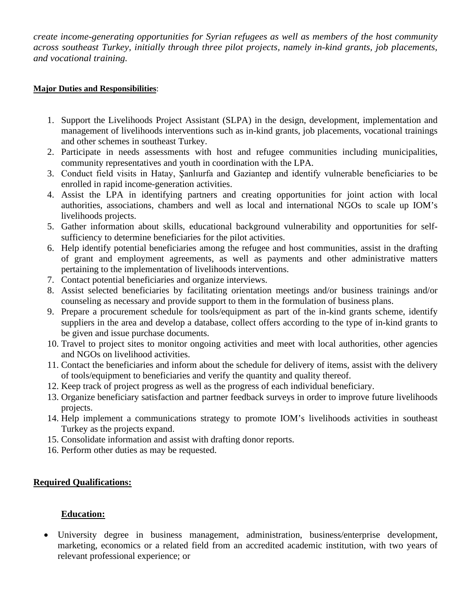*create income-generating opportunities for Syrian refugees as well as members of the host community across southeast Turkey, initially through three pilot projects, namely in-kind grants, job placements, and vocational training.*

#### **Major Duties and Responsibilities**:

- 1. Support the Livelihoods Project Assistant (SLPA) in the design, development, implementation and management of livelihoods interventions such as in-kind grants, job placements, vocational trainings and other schemes in southeast Turkey.
- 2. Participate in needs assessments with host and refugee communities including municipalities, community representatives and youth in coordination with the LPA.
- 3. Conduct field visits in Hatay, Şanlıurfa and Gaziantep and identify vulnerable beneficiaries to be enrolled in rapid income-generation activities.
- 4. Assist the LPA in identifying partners and creating opportunities for joint action with local authorities, associations, chambers and well as local and international NGOs to scale up IOM's livelihoods projects.
- 5. Gather information about skills, educational background vulnerability and opportunities for selfsufficiency to determine beneficiaries for the pilot activities.
- 6. Help identify potential beneficiaries among the refugee and host communities, assist in the drafting of grant and employment agreements, as well as payments and other administrative matters pertaining to the implementation of livelihoods interventions.
- 7. Contact potential beneficiaries and organize interviews.
- 8. Assist selected beneficiaries by facilitating orientation meetings and/or business trainings and/or counseling as necessary and provide support to them in the formulation of business plans.
- 9. Prepare a procurement schedule for tools/equipment as part of the in-kind grants scheme, identify suppliers in the area and develop a database, collect offers according to the type of in-kind grants to be given and issue purchase documents.
- 10. Travel to project sites to monitor ongoing activities and meet with local authorities, other agencies and NGOs on livelihood activities.
- 11. Contact the beneficiaries and inform about the schedule for delivery of items, assist with the delivery of tools/equipment to beneficiaries and verify the quantity and quality thereof.
- 12. Keep track of project progress as well as the progress of each individual beneficiary.
- 13. Organize beneficiary satisfaction and partner feedback surveys in order to improve future livelihoods projects.
- 14. Help implement a communications strategy to promote IOM's livelihoods activities in southeast Turkey as the projects expand.
- 15. Consolidate information and assist with drafting donor reports.
- 16. Perform other duties as may be requested.

## **Required Qualifications:**

## **Education:**

• University degree in business management, administration, business/enterprise development, marketing, economics or a related field from an accredited academic institution, with two years of relevant professional experience; or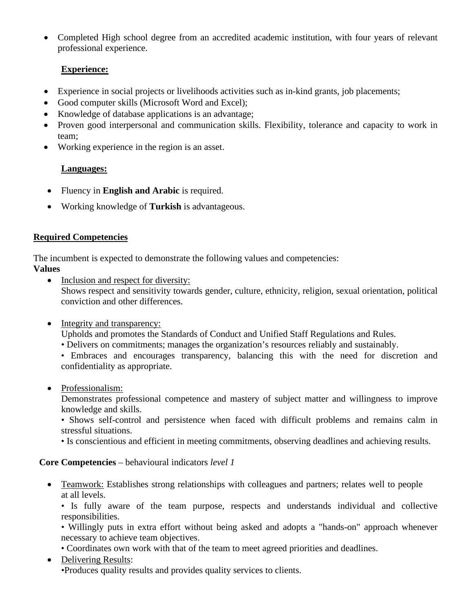• Completed High school degree from an accredited academic institution, with four years of relevant professional experience.

# **Experience:**

- Experience in social projects or livelihoods activities such as in-kind grants, job placements;
- Good computer skills (Microsoft Word and Excel);
- Knowledge of database applications is an advantage;
- Proven good interpersonal and communication skills. Flexibility, tolerance and capacity to work in team;
- Working experience in the region is an asset.

# **Languages:**

- Fluency in **English and Arabic** is required.
- Working knowledge of **Turkish** is advantageous.

# **Required Competencies**

The incumbent is expected to demonstrate the following values and competencies:

# **Values**

- Inclusion and respect for diversity: Shows respect and sensitivity towards gender, culture, ethnicity, religion, sexual orientation, political conviction and other differences.
- Integrity and transparency:

Upholds and promotes the Standards of Conduct and Unified Staff Regulations and Rules.

- Delivers on commitments; manages the organization's resources reliably and sustainably.
- Embraces and encourages transparency, balancing this with the need for discretion and confidentiality as appropriate.
- Professionalism:

Demonstrates professional competence and mastery of subject matter and willingness to improve knowledge and skills.

• Shows self-control and persistence when faced with difficult problems and remains calm in stressful situations.

• Is conscientious and efficient in meeting commitments, observing deadlines and achieving results.

**Core Competencies** – behavioural indicators *level 1*

• Teamwork: Establishes strong relationships with colleagues and partners; relates well to people at all levels.

• Is fully aware of the team purpose, respects and understands individual and collective responsibilities.

• Willingly puts in extra effort without being asked and adopts a "hands-on" approach whenever necessary to achieve team objectives.

- Coordinates own work with that of the team to meet agreed priorities and deadlines.
- Delivering Results:

•Produces quality results and provides quality services to clients.